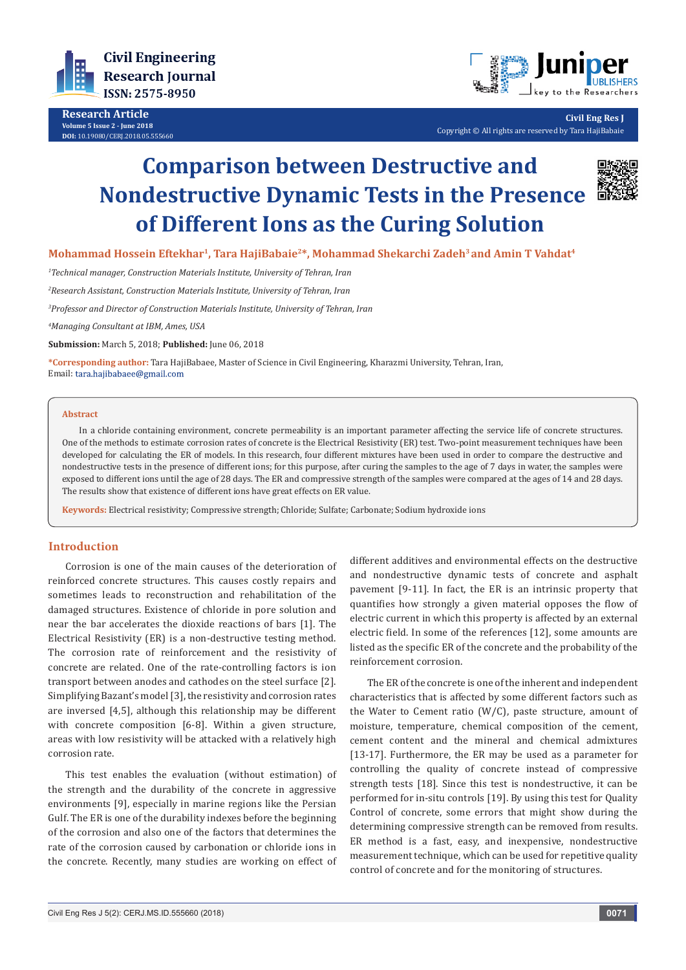

**Research Article Volume 5 Issue 2 - June 2018 DOI:** [10.19080/CERJ.2018.05.5556](http://dx.doi.org/10.19080/CERJ.2018.05.555660)60



**Civil Eng Res J** Copyright © All rights are reserved by Tara HajiBabaie

# **Comparison between Destructive and Nondestructive Dynamic Tests in the Presence of Different Ions as the Curing Solution**



Mohammad Hossein Eftekhar<sup>1</sup>, Tara HajiBabaie<sup>2\*</sup>, Mohammad Shekarchi Zadeh<sup>3</sup> and Amin T Vahdat<sup>4</sup>

*1 Technical manager, Construction Materials Institute, University of Tehran, Iran*

*2 Research Assistant, Construction Materials Institute, University of Tehran, Iran*

*3 Professor and Director of Construction Materials Institute, University of Tehran, Iran*

*4 Managing Consultant at IBM, Ames, USA*

**Submission:** March 5, 2018; **Published:** June 06, 2018

**\*Corresponding author:** Tara HajiBabaee, Master of Science in Civil Engineering, Kharazmi University, Tehran, Iran, Email: tara.hajibabaee@gmail.com

#### **Abstract**

In a chloride containing environment, concrete permeability is an important parameter affecting the service life of concrete structures. One of the methods to estimate corrosion rates of concrete is the Electrical Resistivity (ER) test. Two-point measurement techniques have been developed for calculating the ER of models. In this research, four different mixtures have been used in order to compare the destructive and nondestructive tests in the presence of different ions; for this purpose, after curing the samples to the age of 7 days in water, the samples were exposed to different ions until the age of 28 days. The ER and compressive strength of the samples were compared at the ages of 14 and 28 days. The results show that existence of different ions have great effects on ER value.

**Keywords:** Electrical resistivity; Compressive strength; Chloride; Sulfate; Carbonate; Sodium hydroxide ions

## **Introduction**

Corrosion is one of the main causes of the deterioration of reinforced concrete structures. This causes costly repairs and sometimes leads to reconstruction and rehabilitation of the damaged structures. Existence of chloride in pore solution and near the bar accelerates the dioxide reactions of bars [1]. The Electrical Resistivity (ER) is a non-destructive testing method. The corrosion rate of reinforcement and the resistivity of concrete are related. One of the rate-controlling factors is ion transport between anodes and cathodes on the steel surface [2]. Simplifying Bazant's model [3], the resistivity and corrosion rates are inversed [4,5], although this relationship may be different with concrete composition [6-8]. Within a given structure, areas with low resistivity will be attacked with a relatively high corrosion rate.

This test enables the evaluation (without estimation) of the strength and the durability of the concrete in aggressive environments [9], especially in marine regions like the Persian Gulf. The ER is one of the durability indexes before the beginning of the corrosion and also one of the factors that determines the rate of the corrosion caused by carbonation or chloride ions in the concrete. Recently, many studies are working on effect of different additives and environmental effects on the destructive and nondestructive dynamic tests of concrete and asphalt pavement [9-11]. In fact, the ER is an intrinsic property that quantifies how strongly a given material opposes the flow of electric current in which this property is affected by an external electric field. In some of the references [12], some amounts are listed as the specific ER of the concrete and the probability of the reinforcement corrosion.

The ER of the concrete is one of the inherent and independent characteristics that is affected by some different factors such as the Water to Cement ratio (W/C), paste structure, amount of moisture, temperature, chemical composition of the cement, cement content and the mineral and chemical admixtures [13-17]. Furthermore, the ER may be used as a parameter for controlling the quality of concrete instead of compressive strength tests [18]. Since this test is nondestructive, it can be performed for in-situ controls [19]. By using this test for Quality Control of concrete, some errors that might show during the determining compressive strength can be removed from results. ER method is a fast, easy, and inexpensive, nondestructive measurement technique, which can be used for repetitive quality control of concrete and for the monitoring of structures.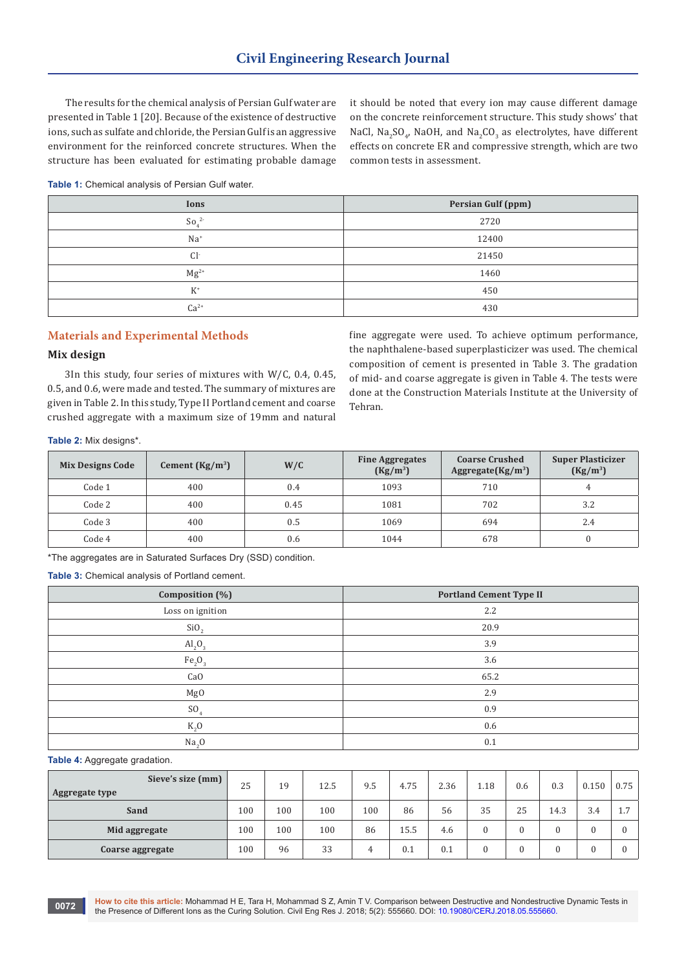The results for the chemical analysis of Persian Gulf water are presented in Table 1 [20]. Because of the existence of destructive ions, such as sulfate and chloride, the Persian Gulf is an aggressive environment for the reinforced concrete structures. When the structure has been evaluated for estimating probable damage it should be noted that every ion may cause different damage on the concrete reinforcement structure. This study shows' that NaCl,  $Na_2SO_4$ , NaOH, and Na<sub>2</sub>CO<sub>3</sub> as electrolytes, have different effects on concrete ER and compressive strength, which are two common tests in assessment.

**Table 1:** Chemical analysis of Persian Gulf water.

| Ions                      | Persian Gulf (ppm) |
|---------------------------|--------------------|
| $\text{So}$ <sup>2-</sup> | 2720               |
| $Na+$                     | 12400              |
| $Cl-$                     | 21450              |
| $Mg^{2+}$                 | 1460               |
| $K^*$                     | 450                |
| $Ca^{2+}$                 | 430                |

# **Materials and Experimental Methods**

## **Mix design**

3In this study, four series of mixtures with W/C, 0.4, 0.45, 0.5, and 0.6, were made and tested. The summary of mixtures are given in Table 2. In this study, Type II Portland cement and coarse crushed aggregate with a maximum size of 19mm and natural fine aggregate were used. To achieve optimum performance, the naphthalene-based superplasticizer was used. The chemical composition of cement is presented in Table 3. The gradation of mid- and coarse aggregate is given in Table 4. The tests were done at the Construction Materials Institute at the University of Tehran.

**Table 2:** Mix designs\*.

| <b>Mix Designs Code</b> | Cement $(Kg/m^3)$ | W/C  | <b>Fine Aggregates</b><br>$(Kg/m^3)$ | <b>Coarse Crushed</b><br>Aggregate(Kg/m <sup>3</sup> ) | <b>Super Plasticizer</b><br>$(Kg/m^3)$ |
|-------------------------|-------------------|------|--------------------------------------|--------------------------------------------------------|----------------------------------------|
| Code 1                  | 400               | 0.4  | 1093                                 | 710                                                    |                                        |
| Code 2                  | 400               | 0.45 | 1081                                 | 702                                                    | 3.2                                    |
| Code 3                  | 400               | 0.5  | 1069                                 | 694                                                    | 2.4                                    |
| Code 4                  | 400               | 0.6  | 1044                                 | 678                                                    |                                        |

\*The aggregates are in Saturated Surfaces Dry (SSD) condition.

**Table 3:** Chemical analysis of Portland cement.

| Composition (%)                | <b>Portland Cement Type II</b> |
|--------------------------------|--------------------------------|
| Loss on ignition               | 2.2                            |
| SiO <sub>2</sub>               | 20.9                           |
| $\text{Al}_2\text{O}_3$        | 3.9                            |
| Fe <sub>2</sub> O <sub>3</sub> | 3.6                            |
| Ca <sub>O</sub>                | 65.2                           |
| Mg <sub>0</sub>                | 2.9                            |
| SO <sub>4</sub>                | 0.9                            |
| $K_2$ O                        | 0.6                            |
| Na <sub>2</sub> O              | 0.1                            |

#### **Table 4:** Aggregate gradation.

| Sieve's size (mm)<br><b>Aggregate type</b> | 25  | 19  | 12.5 | 9.5 | 4.75 | 2.36 | 1.18     | 0.6 | 0.3  | 0.150 | 0.75           |
|--------------------------------------------|-----|-----|------|-----|------|------|----------|-----|------|-------|----------------|
| Sand                                       | 100 | 100 | 100  | 100 | 86   | 56   | 35       | 25  | 14.3 | 3.4   | $\overline{ }$ |
| Mid aggregate                              | 100 | 100 | 100  | 86  | 15.5 | 4.6  |          |     |      |       |                |
| Coarse aggregate                           | 100 | 96  | 33   | Δ.  | 0.1  | 0.1  | $\Omega$ |     |      |       |                |

**How to cite this article:** Mohammad H E, Tara H, Mohammad S Z, Amin T V. Comparison between Destructive and Nondestructive Dynamic Tests in **the Presence of Different Ions as the Curing Solution.** Civil Eng Res J. 2018; 5(2): 555660. DOI: [10.19080/CERJ.2018.05.555660.](http://dx.doi.org/10.19080/CERJ.2018.05.555660) **be** Presence of Different Ions as the Curing Solution. Civil Eng Res J. 2018; 5(2): 555660.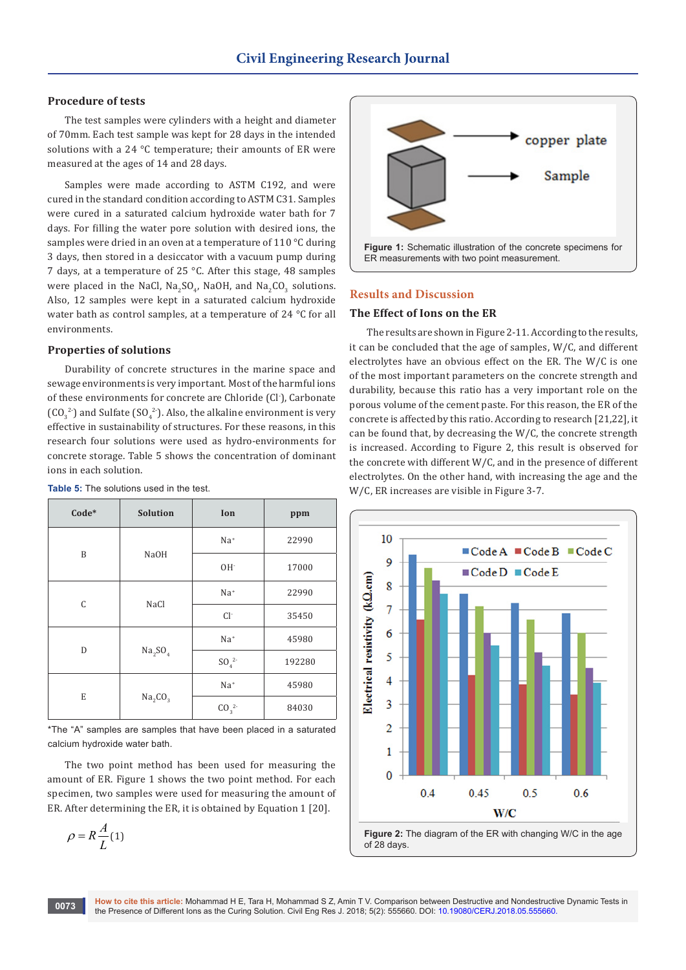## **Procedure of tests**

The test samples were cylinders with a height and diameter of 70mm. Each test sample was kept for 28 days in the intended solutions with a 24 °C temperature; their amounts of ER were measured at the ages of 14 and 28 days.

Samples were made according to ASTM C192, and were cured in the standard condition according to ASTM C31. Samples were cured in a saturated calcium hydroxide water bath for 7 days. For filling the water pore solution with desired ions, the samples were dried in an oven at a temperature of 110 °C during 3 days, then stored in a desiccator with a vacuum pump during 7 days, at a temperature of 25 °C. After this stage, 48 samples were placed in the NaCl,  $Na_2SO_4$ , NaOH, and Na<sub>2</sub>CO<sub>3</sub> solutions. Also, 12 samples were kept in a saturated calcium hydroxide water bath as control samples, at a temperature of 24 °C for all environments.

## **Properties of solutions**

Durability of concrete structures in the marine space and sewage environments is very important. Most of the harmful ions of these environments for concrete are Chloride (Cl- ), Carbonate  $(CO_3^2)$  and Sulfate (SO<sub>4</sub><sup>2</sup>). Also, the alkaline environment is very effective in sustainability of structures. For these reasons, in this research four solutions were used as hydro-environments for concrete storage. Table 5 shows the concentration of dominant ions in each solution.

| Code* | <b>Solution</b>                 | Ion      | ppm    |  |
|-------|---------------------------------|----------|--------|--|
| B     |                                 | $Na+$    | 22990  |  |
|       | <b>NaOH</b>                     | $OH^-$   | 17000  |  |
| C     |                                 | $Na+$    | 22990  |  |
|       | NaCl                            | $Cl-$    | 35450  |  |
| D     |                                 | $Na+$    | 45980  |  |
|       | Na <sub>2</sub> SO <sub>4</sub> | $SO_4^2$ | 192280 |  |
| E     |                                 | $Na+$    | 45980  |  |
|       | Na <sub>2</sub> CO <sub>3</sub> | $CO_3^2$ | 84030  |  |

**Table 5:** The solutions used in the test.

\*The "A" samples are samples that have been placed in a saturated calcium hydroxide water bath.

The two point method has been used for measuring the amount of ER. Figure 1 shows the two point method. For each specimen, two samples were used for measuring the amount of ER. After determining the ER, it is obtained by Equation 1 [20].

$$
\rho = R \frac{A}{L} (1)
$$



#### **Results and Discussion**

#### **The Effect of Ions on the ER**

The results are shown in Figure 2-11. According to the results, it can be concluded that the age of samples, W/C, and different electrolytes have an obvious effect on the ER. The W/C is one of the most important parameters on the concrete strength and durability, because this ratio has a very important role on the porous volume of the cement paste. For this reason, the ER of the concrete is affected by this ratio. According to research [21,22], it can be found that, by decreasing the W/C, the concrete strength is increased. According to Figure 2, this result is observed for the concrete with different W/C, and in the presence of different electrolytes. On the other hand, with increasing the age and the W/C, ER increases are visible in Figure 3-7.



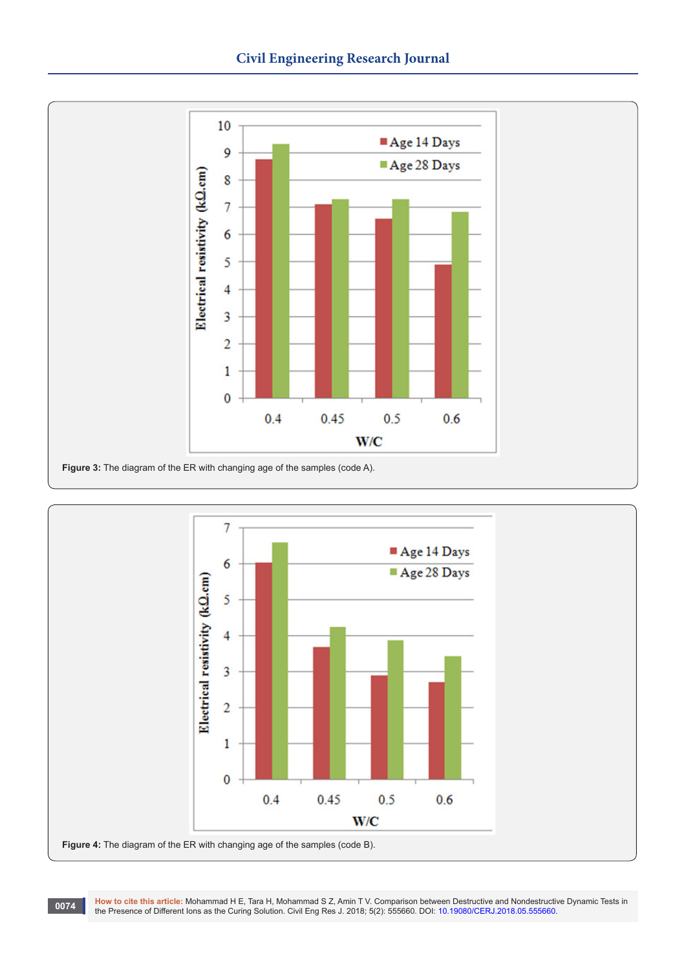



**0074** How to cite this article: Mohammad H E, Tara H, Mohammad S Z, Amin T V. Comparison between Destructive and Nondestructive Dynamic Tests in the Presence of Different lons as the Curing Solution. Civil Eng Res J. 2018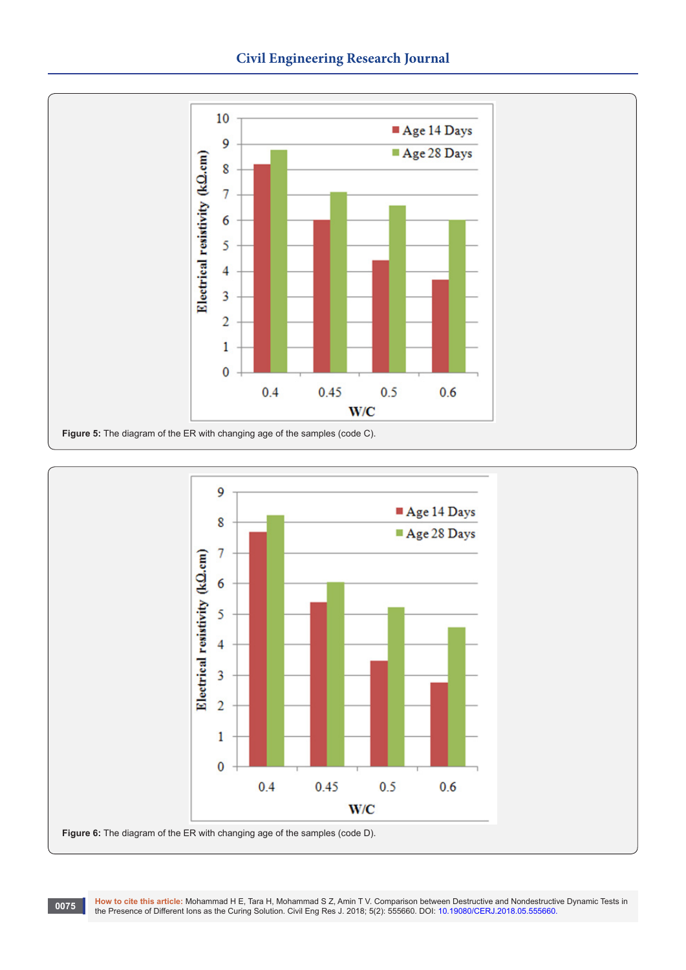



**0075** How to cite this article: Mohammad H E, Tara H, Mohammad S Z, Amin T V. Comparison between Destructive and Nondestructive Dynamic Tests in the Presence of Different lons as the Curing Solution. Civil Eng Res J. 2018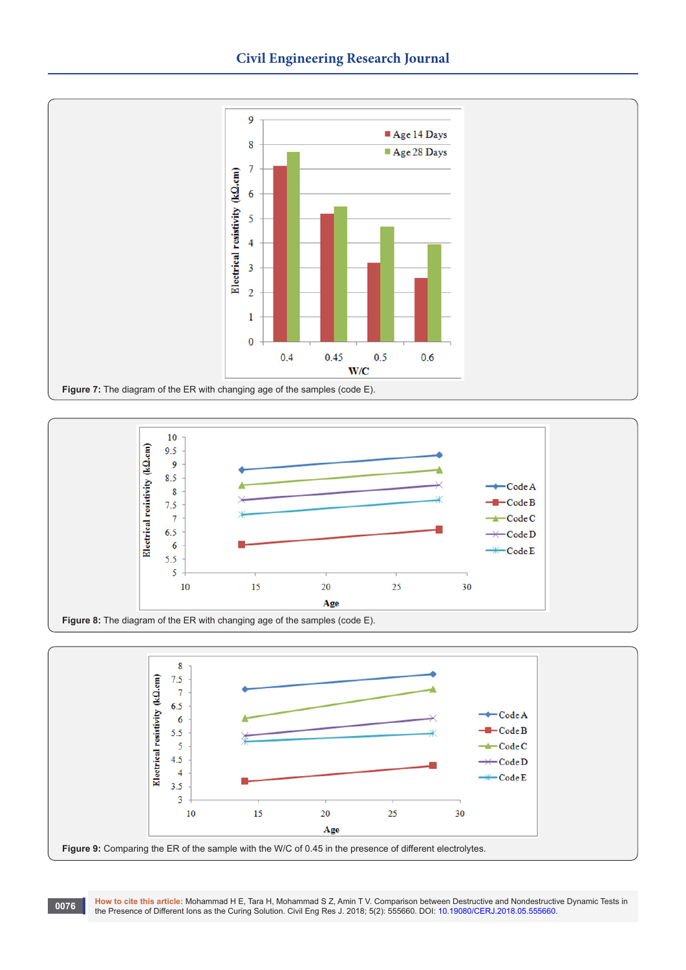





**How to cite this article:** Mohammad H E, Tara H, Mohammad S Z, Amin T V. Comparison between Destructive and Nondestructive Dynamic Tests in the Presence of Different Ions as the Curing Solution. Civil Eng Res J. 2018; 5(2): 555660. DOI: [10.19080/CERJ.2018.05.555660.](http://dx.doi.org/10.19080/CERJ.2018.05.555660)<br>The Presence of Different Ions as the Curing Solution. Civil Eng Res J. 2018; 5(2): 555660. DOI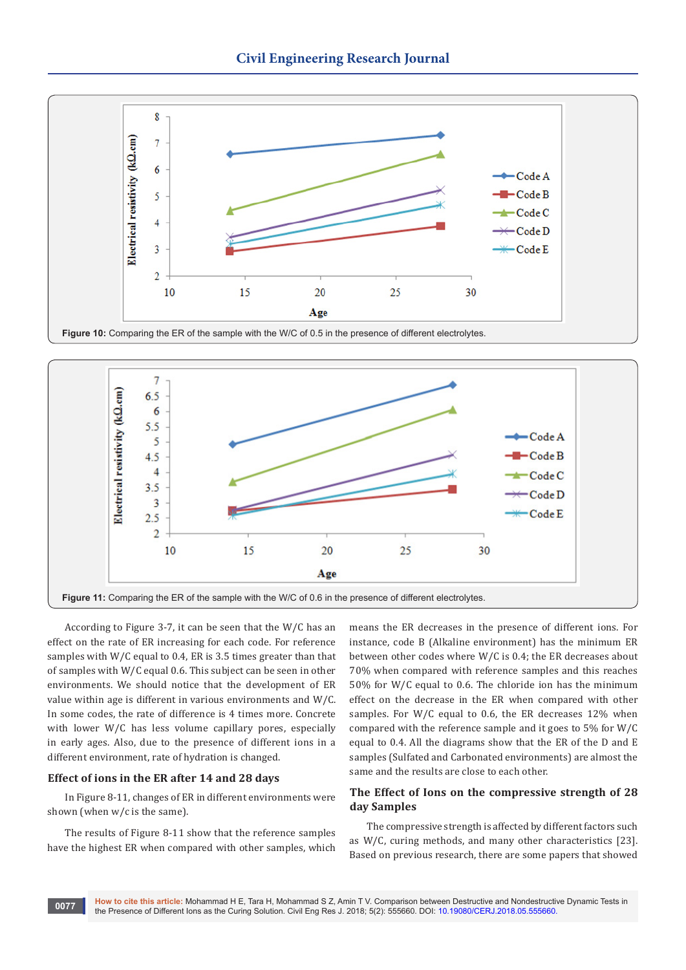

Figure 10: Comparing the ER of the sample with the W/C of 0.5 in the presence of different electrolytes.



According to Figure 3-7, it can be seen that the W/C has an effect on the rate of ER increasing for each code. For reference samples with W/C equal to 0.4, ER is 3.5 times greater than that of samples with W/C equal 0.6. This subject can be seen in other environments. We should notice that the development of ER value within age is different in various environments and W/C. In some codes, the rate of difference is 4 times more. Concrete with lower W/C has less volume capillary pores, especially in early ages. Also, due to the presence of different ions in a different environment, rate of hydration is changed.

### **Effect of ions in the ER after 14 and 28 days**

In Figure 8-11, changes of ER in different environments were shown (when w/c is the same).

The results of Figure 8-11 show that the reference samples have the highest ER when compared with other samples, which means the ER decreases in the presence of different ions. For instance, code B (Alkaline environment) has the minimum ER between other codes where W/C is 0.4; the ER decreases about 70% when compared with reference samples and this reaches 50% for W/C equal to 0.6. The chloride ion has the minimum effect on the decrease in the ER when compared with other samples. For W/C equal to 0.6, the ER decreases 12% when compared with the reference sample and it goes to 5% for W/C equal to 0.4. All the diagrams show that the ER of the D and E samples (Sulfated and Carbonated environments) are almost the same and the results are close to each other.

# **The Effect of Ions on the compressive strength of 28 day Samples**

The compressive strength is affected by different factors such as W/C, curing methods, and many other characteristics [23]. Based on previous research, there are some papers that showed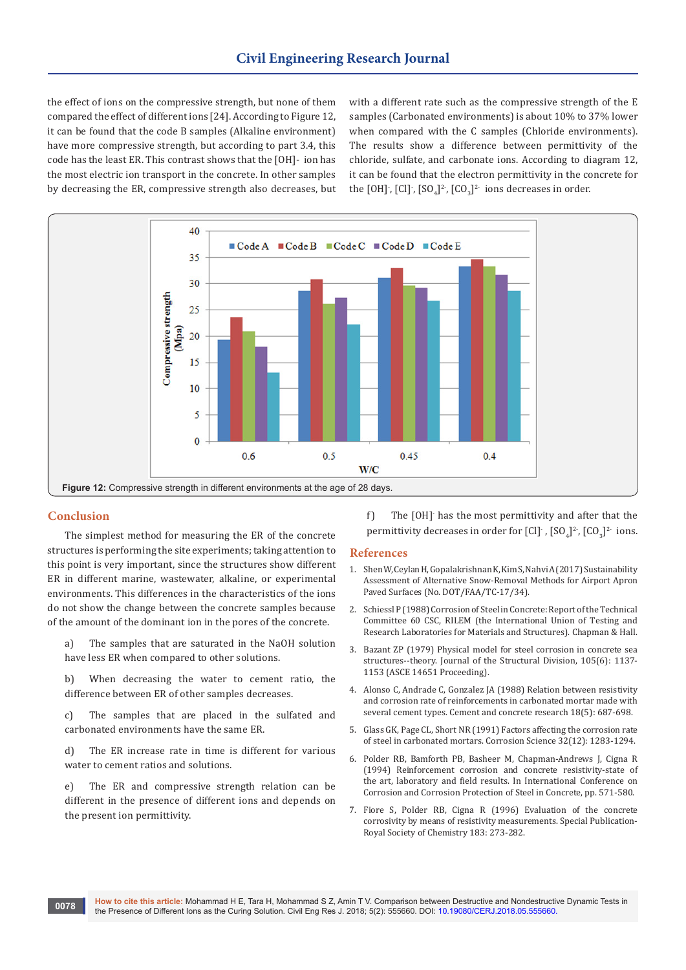the effect of ions on the compressive strength, but none of them compared the effect of different ions [24]. According to Figure 12, it can be found that the code B samples (Alkaline environment) have more compressive strength, but according to part 3.4, this code has the least ER. This contrast shows that the [OH]- ion has the most electric ion transport in the concrete. In other samples by decreasing the ER, compressive strength also decreases, but

with a different rate such as the compressive strength of the E samples (Carbonated environments) is about 10% to 37% lower when compared with the C samples (Chloride environments). The results show a difference between permittivity of the chloride, sulfate, and carbonate ions. According to diagram 12, it can be found that the electron permittivity in the concrete for the [OH] , [Cl] , [SO<sub>4</sub>]<sup>2-</sup>, [CO<sub>3</sub>]<sup>2-</sup> ions decreases in order.



## **Conclusion**

The simplest method for measuring the ER of the concrete structures is performing the site experiments; taking attention to this point is very important, since the structures show different ER in different marine, wastewater, alkaline, or experimental environments. This differences in the characteristics of the ions do not show the change between the concrete samples because of the amount of the dominant ion in the pores of the concrete.

a) The samples that are saturated in the NaOH solution have less ER when compared to other solutions.

b) When decreasing the water to cement ratio, the difference between ER of other samples decreases.

c) The samples that are placed in the sulfated and carbonated environments have the same ER.

d) The ER increase rate in time is different for various water to cement ratios and solutions.

e) The ER and compressive strength relation can be different in the presence of different ions and depends on the present ion permittivity.

f) The [OH]- has the most permittivity and after that the permittivity decreases in order for  $\text{[Cl]}$  ,  $\text{[SO}_4]^2$ ,  $\text{[CO}_3]^2$  ions.

#### **References**

- 1. Shen W, Ceylan H, Gopalakrishnan K, Kim S, Nahvi A (2017) Sustainability Assessment of Alternative Snow-Removal Methods for Airport Apron Paved Surfaces (No. DOT/FAA/TC-17/34).
- 2. [Schiessl P \(1988\) Corrosion of Steel in Concrete: Report of the Technical](https://searchworks.stanford.edu/view/1326176)  [Committee 60 CSC, RILEM \(the International Union of Testing and](https://searchworks.stanford.edu/view/1326176)  [Research Laboratories for Materials and Structures\). Chapman & Hall.](https://searchworks.stanford.edu/view/1326176)
- 3. [Bazant ZP \(1979\) Physical model for steel corrosion in concrete sea](http://cedb.asce.org/CEDBsearch/record.jsp?dockey=0008836)  [structures--theory. Journal of the Structural Division, 105\(6\): 1137-](http://cedb.asce.org/CEDBsearch/record.jsp?dockey=0008836) [1153 \(ASCE 14651 Proceeding\).](http://cedb.asce.org/CEDBsearch/record.jsp?dockey=0008836)
- 4. [Alonso C, Andrade C, Gonzalez JA \(1988\) Relation between resistivity](https://www.sciencedirect.com/science/article/pii/0008884688900919)  [and corrosion rate of reinforcements in carbonated mortar made with](https://www.sciencedirect.com/science/article/pii/0008884688900919)  [several cement types. Cement and concrete research 18\(5\): 687-698.](https://www.sciencedirect.com/science/article/pii/0008884688900919)
- 5. [Glass GK, Page CL, Short NR \(1991\) Factors affecting the corrosion rate](https://www.sciencedirect.com/science/article/pii/0010938X9190048T)  [of steel in carbonated mortars. Corrosion Science 32\(12\): 1283-1294.](https://www.sciencedirect.com/science/article/pii/0010938X9190048T)
- 6. Polder RB, Bamforth PB, Basheer M, Chapman-Andrews J, Cigna R (1994) Reinforcement corrosion and concrete resistivity-state of the art, laboratory and field results. In International Conference on Corrosion and Corrosion Protection of Steel in Concrete, pp. 571-580.
- 7. Fiore S, Polder RB, Cigna R (1996) Evaluation of the concrete corrosivity by means of resistivity measurements. Special Publication-Royal Society of Chemistry 183: 273-282.